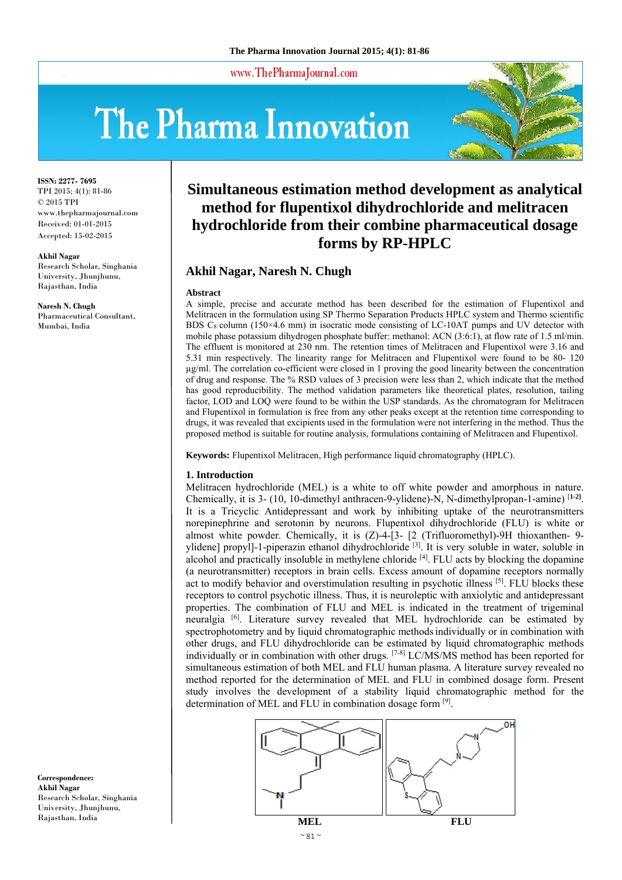www.ThePharmaJournal.com

# The Pharma Innovation



**ISSN: 2277- 7695** TPI 2015; 4(1): 81-86 © 2015 TPI www.thepharmajournal.com Received: 01-01-2015 Accepted: 15-02-2015

#### **Akhil Nagar**

Research Scholar, Singhania University, Jhunjhunu, Rajasthan, India

**Naresh N. Chugh**  Pharmaceutical Consultant, Mumbai, India

**Simultaneous estimation method development as analytical method for flupentixol dihydrochloride and melitracen hydrochloride from their combine pharmaceutical dosage forms by RP-HPLC** 

## **Akhil Nagar, Naresh N. Chugh**

#### **Abstract**

A simple, precise and accurate method has been described for the estimation of Flupentixol and Melitracen in the formulation using SP Thermo Separation Products HPLC system and Thermo scientific BDS C<sub>8</sub> column (150×4.6 mm) in isocratic mode consisting of LC-10AT pumps and UV detector with mobile phase potassium dihydrogen phosphate buffer: methanol: ACN (3:6:1), at flow rate of 1.5 ml/min. The effluent is monitored at 230 nm. The retention times of Melitracen and Flupentixol were 3.16 and 5.31 min respectively. The linearity range for Melitracen and Flupentixol were found to be 80- 120 µg/ml. The correlation co-efficient were closed in 1 proving the good linearity between the concentration of drug and response. The % RSD values of 3 precision were less than 2, which indicate that the method has good reproducibility. The method validation parameters like theoretical plates, resolution, tailing factor, LOD and LOQ were found to be within the USP standards. As the chromatogram for Melitracen and Flupentixol in formulation is free from any other peaks except at the retention time corresponding to drugs, it was revealed that excipients used in the formulation were not interfering in the method. Thus the proposed method is suitable for routine analysis, formulations containing of Melitracen and Flupentixol.

**Keywords:** Flupentixol Melitracen, High performance liquid chromatography (HPLC).

#### **1. Introduction**

Melitracen hydrochloride (MEL) is a white to off white powder and amorphous in nature. Chemically, it is 3- (10, 10-dimethyl anthracen-9-ylidene)-N, N-dimethylpropan-1-amine) [**1-2]**. It is a Tricyclic Antidepressant and work by inhibiting uptake of the neurotransmitters norepinephrine and serotonin by neurons. Flupentixol dihydrochloride (FLU) is white or almost white powder. Chemically, it is (Z)-4-[3- [2 (Trifluoromethyl)-9H thioxanthen- 9 ylidene] propyl]-1-piperazin ethanol dihydrochloride [3]. It is very soluble in water, soluble in alcohol and practically insoluble in methylene chloride [4]. FLU acts by blocking the dopamine (a neurotransmitter) receptors in brain cells. Excess amount of dopamine receptors normally act to modify behavior and overstimulation resulting in psychotic illness  $^{[5]}$ . FLU blocks these receptors to control psychotic illness. Thus, it is neuroleptic with anxiolytic and antidepressant properties. The combination of FLU and MEL is indicated in the treatment of trigeminal neuralgia [6]. Literature survey revealed that MEL hydrochloride can be estimated by spectrophotometry and by liquid chromatographic methodsindividually or in combination with other drugs, and FLU dihydrochloride can be estimated by liquid chromatographic methods individually or in combination with other drugs. [7-8] LC/MS/MS method has been reported for simultaneous estimation of both MEL and FLU human plasma. A literature survey revealed no method reported for the determination of MEL and FLU in combined dosage form. Present study involves the development of a stability liquid chromatographic method for the determination of MEL and FLU in combination dosage form [9].



**Correspondence: Akhil Nagar**  Research Scholar, Singhania University, Jhunjhunu, Rajasthan, India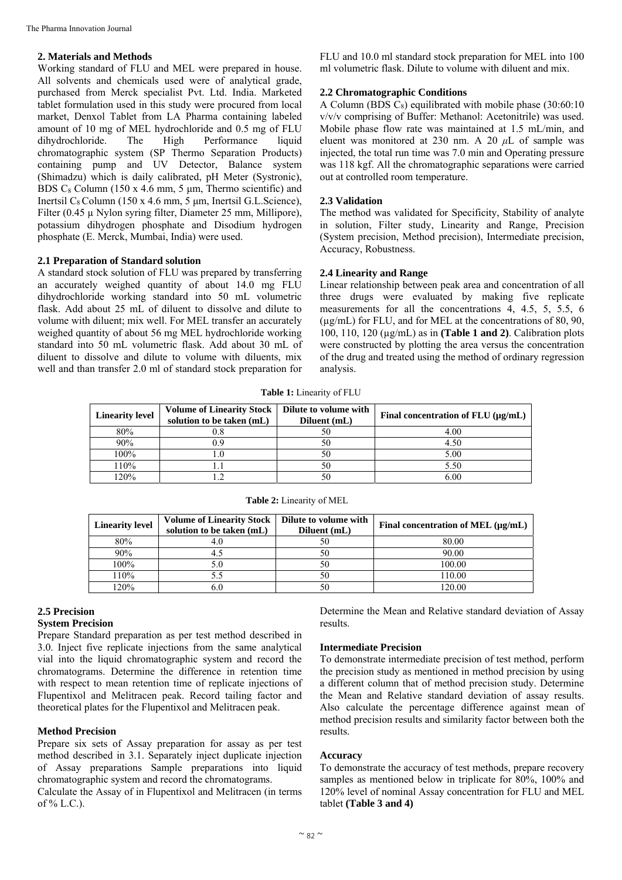## **2. Materials and Methods**

Working standard of FLU and MEL were prepared in house. All solvents and chemicals used were of analytical grade, purchased from Merck specialist Pvt. Ltd. India. Marketed tablet formulation used in this study were procured from local market, Denxol Tablet from LA Pharma containing labeled amount of 10 mg of MEL hydrochloride and 0.5 mg of FLU dihydrochloride. The High Performance liquid chromatographic system (SP Thermo Separation Products) containing pump and UV Detector, Balance system (Shimadzu) which is daily calibrated, pH Meter (Systronic), BDS  $C_8$  Column (150 x 4.6 mm, 5  $\mu$ m, Thermo scientific) and Inertsil  $C_8$  Column (150 x 4.6 mm, 5 µm, Inertsil G.L.Science), Filter (0.45 µ Nylon syring filter, Diameter 25 mm, Millipore), potassium dihydrogen phosphate and Disodium hydrogen phosphate (E. Merck, Mumbai, India) were used.

## **2.1 Preparation of Standard solution**

A standard stock solution of FLU was prepared by transferring an accurately weighed quantity of about 14.0 mg FLU dihydrochloride working standard into 50 mL volumetric flask. Add about 25 mL of diluent to dissolve and dilute to volume with diluent; mix well. For MEL transfer an accurately weighed quantity of about 56 mg MEL hydrochloride working standard into 50 mL volumetric flask. Add about 30 mL of diluent to dissolve and dilute to volume with diluents, mix well and than transfer 2.0 ml of standard stock preparation for FLU and 10.0 ml standard stock preparation for MEL into 100 ml volumetric flask. Dilute to volume with diluent and mix.

## **2.2 Chromatographic Conditions**

A Column (BDS  $C_8$ ) equilibrated with mobile phase (30:60:10 v/v/v comprising of Buffer: Methanol: Acetonitrile) was used. Mobile phase flow rate was maintained at 1.5 mL/min, and eluent was monitored at 230 nm. A 20 *μ*L of sample was injected, the total run time was 7.0 min and Operating pressure was 118 kgf. All the chromatographic separations were carried out at controlled room temperature.

## **2.3 Validation**

The method was validated for Specificity, Stability of analyte in solution, Filter study, Linearity and Range, Precision (System precision, Method precision), Intermediate precision, Accuracy, Robustness.

## **2.4 Linearity and Range**

Linear relationship between peak area and concentration of all three drugs were evaluated by making five replicate measurements for all the concentrations 4, 4.5, 5, 5.5, 6 (µg/mL) for FLU, and for MEL at the concentrations of 80, 90, 100, 110, 120 (µg/mL) as in **(Table 1 and 2)**. Calibration plots were constructed by plotting the area versus the concentration of the drug and treated using the method of ordinary regression analysis.

**Table 1:** Linearity of FLU

| <b>Linearity level</b> | <b>Volume of Linearity Stock</b><br>solution to be taken (mL) | Dilute to volume with<br>Diluent (mL) | Final concentration of $FLU$ ( $\mu$ g/mL) |  |
|------------------------|---------------------------------------------------------------|---------------------------------------|--------------------------------------------|--|
| 80%                    |                                                               | 50                                    | 4.00                                       |  |
| 90%                    |                                                               | 50                                    | 4.50                                       |  |
| 100%                   |                                                               | 50                                    | 5.00                                       |  |
| 110%                   |                                                               | 50                                    |                                            |  |
| 20%                    |                                                               |                                       | 6.00                                       |  |

| <b>Linearity level</b> | <b>Volume of Linearity Stock</b><br>solution to be taken (mL) | Dilute to volume with<br>Diluent (mL) | Final concentration of MEL $(\mu g/mL)$ |  |
|------------------------|---------------------------------------------------------------|---------------------------------------|-----------------------------------------|--|
| 80%                    |                                                               |                                       | 80.00                                   |  |
| 90%                    |                                                               |                                       | 90.00                                   |  |
| 100%                   |                                                               |                                       | 100.00                                  |  |
| 110%                   |                                                               | 50                                    | 110.00                                  |  |
| 120%                   |                                                               |                                       | 120.00                                  |  |

**Table 2:** Linearity of MEL

## **2.5 Precision**

## **System Precision**

Prepare Standard preparation as per test method described in 3.0. Inject five replicate injections from the same analytical vial into the liquid chromatographic system and record the chromatograms. Determine the difference in retention time with respect to mean retention time of replicate injections of Flupentixol and Melitracen peak. Record tailing factor and theoretical plates for the Flupentixol and Melitracen peak.

## **Method Precision**

Prepare six sets of Assay preparation for assay as per test method described in 3.1. Separately inject duplicate injection of Assay preparations Sample preparations into liquid chromatographic system and record the chromatograms.

Calculate the Assay of in Flupentixol and Melitracen (in terms of  $% L.C.$ ).

Determine the Mean and Relative standard deviation of Assay results.

## **Intermediate Precision**

To demonstrate intermediate precision of test method, perform the precision study as mentioned in method precision by using a different column that of method precision study. Determine the Mean and Relative standard deviation of assay results. Also calculate the percentage difference against mean of method precision results and similarity factor between both the results.

### **Accuracy**

To demonstrate the accuracy of test methods, prepare recovery samples as mentioned below in triplicate for 80%, 100% and 120% level of nominal Assay concentration for FLU and MEL tablet **(Table 3 and 4)**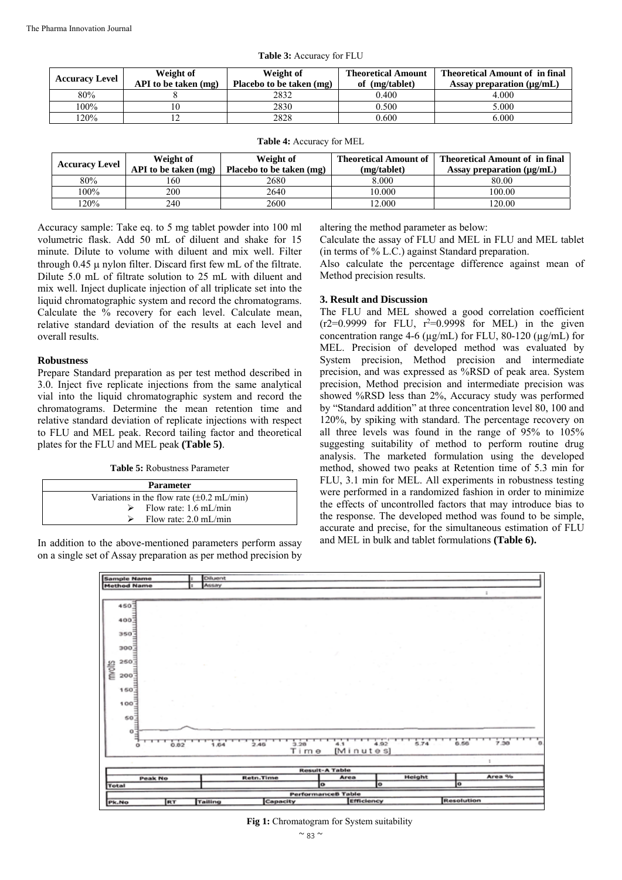| <b>Accuracy Level</b> | Weight of<br>API to be taken (mg) | Weight of<br>Placebo to be taken (mg) | <b>Theoretical Amount</b><br>of (mg/tablet) | <b>Theoretical Amount of in final</b><br>Assay preparation $(\mu g/mL)$ |
|-----------------------|-----------------------------------|---------------------------------------|---------------------------------------------|-------------------------------------------------------------------------|
| 80%                   |                                   | 2832                                  | 0.400                                       | 4.000                                                                   |
| 100%                  |                                   | 2830                                  | 0.500                                       | 5.000                                                                   |
| 120%                  |                                   | 2828                                  | 0.600                                       | 6.000                                                                   |

**Table 3:** Accuracy for FLU

| <b>Accuracy Level</b> | Weight of<br>API to be taken (mg) | Weight of<br>Placebo to be taken (mg) | <b>Theoretical Amount of 1</b><br>(mg/tablet) | <b>Theoretical Amount of in final</b><br>Assay preparation $(\mu g/mL)$ |  |
|-----------------------|-----------------------------------|---------------------------------------|-----------------------------------------------|-------------------------------------------------------------------------|--|
| 80%                   | 160                               | 2680                                  | 8.000                                         | 80.00                                                                   |  |
| $100\%$               | 200                               | 2640                                  | 10.000                                        | 100.00                                                                  |  |
| 20%                   | 240                               | 2600                                  | 12.000                                        | 120.00                                                                  |  |

**Table 4:** Accuracy for MEL

Accuracy sample: Take eq. to 5 mg tablet powder into 100 ml volumetric flask. Add 50 mL of diluent and shake for 15 minute. Dilute to volume with diluent and mix well. Filter through  $0.45 \mu$  nylon filter. Discard first few mL of the filtrate. Dilute 5.0 mL of filtrate solution to 25 mL with diluent and mix well. Inject duplicate injection of all triplicate set into the liquid chromatographic system and record the chromatograms. Calculate the % recovery for each level. Calculate mean, relative standard deviation of the results at each level and overall results.

## **Robustness**

Prepare Standard preparation as per test method described in 3.0. Inject five replicate injections from the same analytical vial into the liquid chromatographic system and record the chromatograms. Determine the mean retention time and relative standard deviation of replicate injections with respect to FLU and MEL peak. Record tailing factor and theoretical plates for the FLU and MEL peak **(Table 5)**.

**Table 5:** Robustness Parameter

| <b>Parameter</b>                                       |  |  |  |  |  |
|--------------------------------------------------------|--|--|--|--|--|
| Variations in the flow rate $(\pm 0.2 \text{ mL/min})$ |  |  |  |  |  |
| $\triangleright$ Flow rate: 1.6 mL/min                 |  |  |  |  |  |
| Flow rate: $2.0 \text{ mL/min}$                        |  |  |  |  |  |

In addition to the above-mentioned parameters perform assay on a single set of Assay preparation as per method precision by altering the method parameter as below:

Calculate the assay of FLU and MEL in FLU and MEL tablet (in terms of % L.C.) against Standard preparation.

Also calculate the percentage difference against mean of Method precision results.

## **3. Result and Discussion**

The FLU and MEL showed a good correlation coefficient  $(r2=0.9999$  for FLU,  $r^2=0.9998$  for MEL) in the given concentration range 4-6 ( $\mu$ g/mL) for FLU, 80-120 ( $\mu$ g/mL) for MEL. Precision of developed method was evaluated by System precision, Method precision and intermediate precision, and was expressed as %RSD of peak area. System precision, Method precision and intermediate precision was showed %RSD less than 2%, Accuracy study was performed by "Standard addition" at three concentration level 80, 100 and 120%, by spiking with standard. The percentage recovery on all three levels was found in the range of 95% to 105% suggesting suitability of method to perform routine drug analysis. The marketed formulation using the developed method, showed two peaks at Retention time of 5.3 min for FLU, 3.1 min for MEL. All experiments in robustness testing were performed in a randomized fashion in order to minimize the effects of uncontrolled factors that may introduce bias to the response. The developed method was found to be simple, accurate and precise, for the simultaneous estimation of FLU and MEL in bulk and tablet formulations **(Table 6).** 



#### **Fig 1:** Chromatogram for System suitability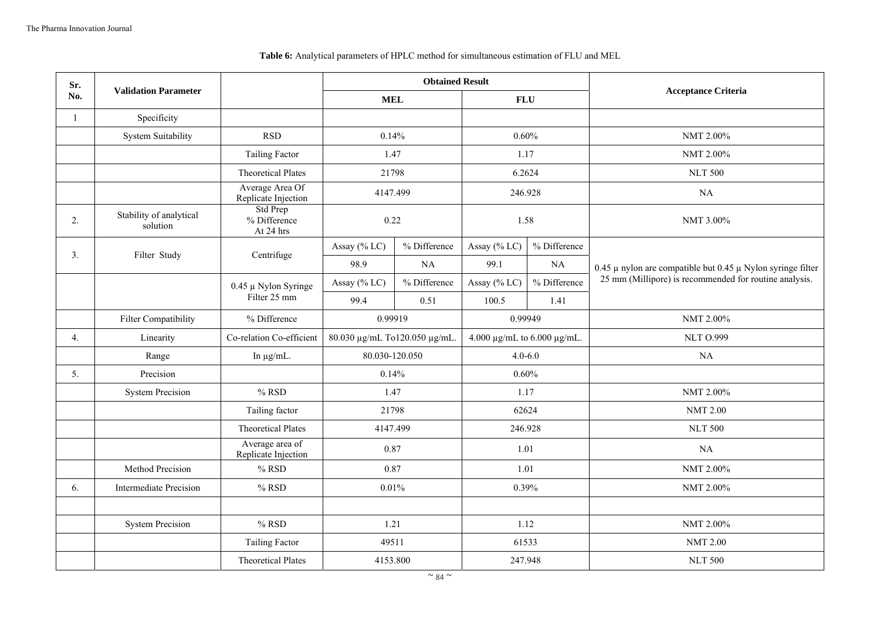## **Table 6:** Analytical parameters of HPLC method for simultaneous estimation of FLU and MEL

| Sr.          | <b>Validation Parameter</b>         |                                        | <b>Obtained Result</b>        |              |                                       | <b>Acceptance Criteria</b> |                                                                     |  |
|--------------|-------------------------------------|----------------------------------------|-------------------------------|--------------|---------------------------------------|----------------------------|---------------------------------------------------------------------|--|
| No.          |                                     |                                        | <b>MEL</b>                    |              | <b>FLU</b>                            |                            |                                                                     |  |
| $\mathbf{1}$ | Specificity                         |                                        |                               |              |                                       |                            |                                                                     |  |
|              | System Suitability                  | <b>RSD</b>                             | 0.14%                         |              | 0.60%                                 |                            | NMT 2.00%                                                           |  |
|              |                                     | <b>Tailing Factor</b>                  | 1.47                          |              | 1.17                                  |                            | NMT 2.00%                                                           |  |
|              |                                     | <b>Theoretical Plates</b>              | 21798                         |              | 6.2624                                |                            | <b>NLT 500</b>                                                      |  |
|              |                                     | Average Area Of<br>Replicate Injection | 4147.499                      |              | 246.928                               |                            | NA                                                                  |  |
| 2.           | Stability of analytical<br>solution | Std Prep<br>% Difference<br>At 24 hrs  | 0.22                          |              | 1.58                                  |                            | NMT 3.00%                                                           |  |
| 3.           | Filter Study                        | Centrifuge                             | Assay (% LC)                  | % Difference | Assay (% LC)                          | % Difference               |                                                                     |  |
|              |                                     |                                        | 98.9                          | NA           | 99.1                                  | NA                         | 0.45 $\mu$ nylon are compatible but 0.45 $\mu$ Nylon syringe filter |  |
|              |                                     | $0.45 \mu$ Nylon Syringe               | Assay (% LC)                  | % Difference | Assay (% LC)                          | % Difference               | 25 mm (Millipore) is recommended for routine analysis.              |  |
|              |                                     | Filter 25 mm                           | 99.4                          | 0.51         | 100.5                                 | 1.41                       |                                                                     |  |
|              | <b>Filter Compatibility</b>         | % Difference                           | 0.99919                       |              | 0.99949                               |                            | NMT 2.00%                                                           |  |
| 4.           | Linearity                           | Co-relation Co-efficient               | 80.030 μg/mL To120.050 μg/mL. |              | 4.000 $\mu$ g/mL to 6.000 $\mu$ g/mL. |                            | <b>NLT O.999</b>                                                    |  |
|              | Range                               | In $\mu$ g/mL.                         | 80.030-120.050                |              | $4.0 - 6.0$                           |                            | NA                                                                  |  |
| 5.           | Precision                           |                                        | 0.14%                         |              | 0.60%                                 |                            |                                                                     |  |
|              | <b>System Precision</b>             | $%$ RSD                                | 1.47                          |              | 1.17                                  |                            | NMT 2.00%                                                           |  |
|              |                                     | Tailing factor                         | 21798                         |              | 62624                                 |                            | <b>NMT 2.00</b>                                                     |  |
|              |                                     | <b>Theoretical Plates</b>              | 4147.499                      |              | 246.928                               |                            | <b>NLT 500</b>                                                      |  |
|              |                                     | Average area of<br>Replicate Injection | 0.87                          |              | 1.01                                  |                            | NA                                                                  |  |
|              | Method Precision                    | $%$ RSD                                | 0.87                          |              | 1.01                                  |                            | NMT 2.00%                                                           |  |
| 6.           | Intermediate Precision              | $%$ RSD                                | 0.01%                         |              | 0.39%                                 |                            | NMT 2.00%                                                           |  |
|              |                                     |                                        |                               |              |                                       |                            |                                                                     |  |
|              | <b>System Precision</b>             | $%$ RSD                                | 1.21                          |              | 1.12                                  |                            | NMT 2.00%                                                           |  |
|              |                                     | Tailing Factor                         | 49511                         |              | 61533                                 |                            | <b>NMT 2.00</b>                                                     |  |
|              |                                     | <b>Theoretical Plates</b>              | 4153.800                      |              | 247.948                               |                            | <b>NLT 500</b>                                                      |  |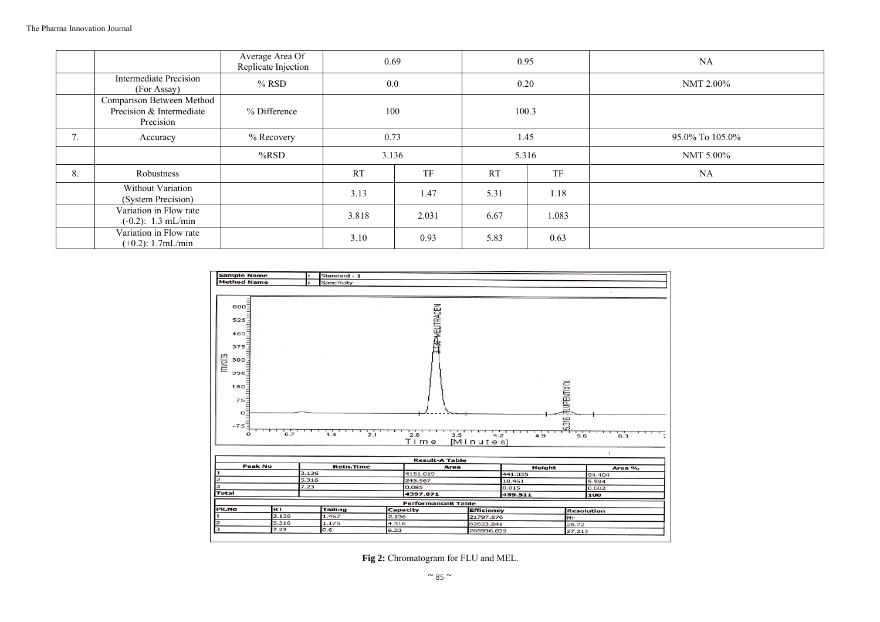|            |                                                                    | Average Area Of<br>Replicate Injection | 0.69  |           | 0.95      |       | NA              |
|------------|--------------------------------------------------------------------|----------------------------------------|-------|-----------|-----------|-------|-----------------|
|            | <b>Intermediate Precision</b><br>(For Assay)                       | $%$ RSD                                | 0.0   |           | 0.20      |       | NMT 2.00%       |
|            | Comparison Between Method<br>Precision & Intermediate<br>Precision | % Difference                           | 100   |           | 100.3     |       |                 |
| $\sqrt{2}$ | Accuracy                                                           | % Recovery                             | 0.73  |           | 1.45      |       | 95.0% To 105.0% |
|            |                                                                    | $%$ RSD                                | 3.136 |           | 5.316     |       | NMT 5.00%       |
| 8.         | Robustness                                                         |                                        | RT    | <b>TF</b> | <b>RT</b> | TF    | NA              |
|            | Without Variation<br>(System Precision)                            |                                        | 3.13  | 1.47      | 5.31      | 1.18  |                 |
|            | Variation in Flow rate<br>$(-0.2)$ : 1.3 mL/min                    |                                        | 3.818 | 2.031     | 6.67      | 1.083 |                 |
|            | Variation in Flow rate<br>$(+0.2)$ : 1.7mL/min                     |                                        | 3.10  | 0.93      | 5.83      | 0.63  |                 |



**Fig 2:** Chromatogram for FLU and MEL.